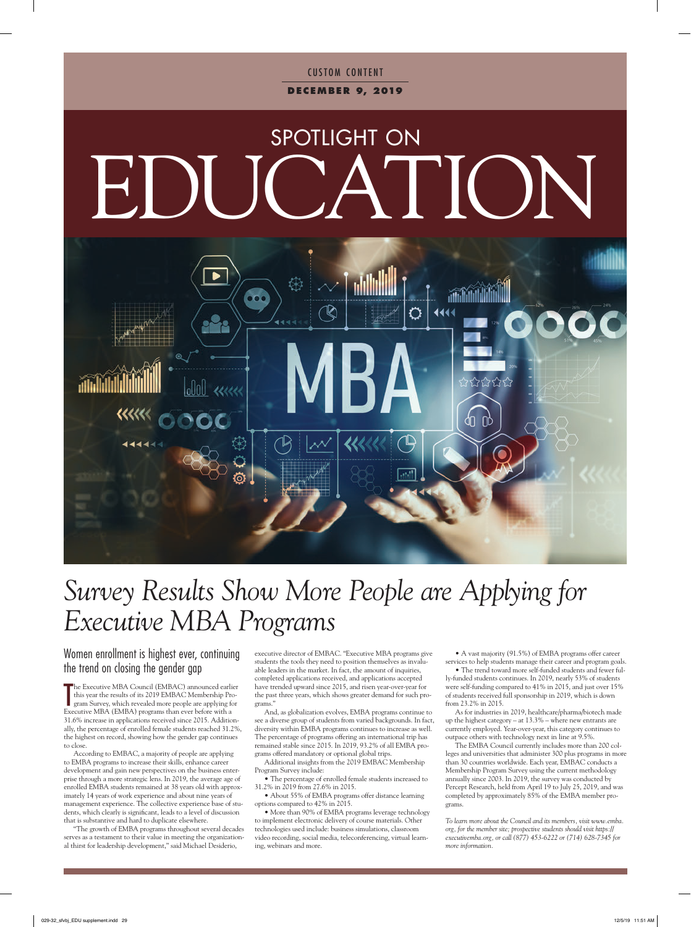### **CUSTOM CONTENT d e c em b e r 9, 2019**

# SPOTLIGHT ON EDUCATION



## *Survey Results Show More People are Applying for Executive MBA Programs*

Women enrollment is highest ever, continuing the trend on closing the gender gap

The Executive MBA Council (EMBAC) announced earlie<br>this year the results of its 2019 EMBAC Membership Program Survey, which revealed more people are applying for<br>Executive MBA (EMBA) programs than ever before with a he Executive MBA Council (EMBAC) announced earlier this year the results of its 2019 EMBAC Membership Program Survey, which revealed more people are applying for 31.6% increase in applications received since 2015. Additionally, the percentage of enrolled female students reached 31.2%, the highest on record, showing how the gender gap continues to close.

According to EMBAC, a majority of people are applying to EMBA programs to increase their skills, enhance career development and gain new perspectives on the business enterprise through a more strategic lens. In 2019, the average age of enrolled EMBA students remained at 38 years old with approximately 14 years of work experience and about nine years of management experience. The collective experience base of students, which clearly is significant, leads to a level of discussion that is substantive and hard to duplicate elsewhere.

"The growth of EMBA programs throughout several decades serves as a testament to their value in meeting the organizational thirst for leadership development," said Michael Desiderio,

executive director of EMBAC. "Executive MBA programs give students the tools they need to position themselves as invaluable leaders in the market. In fact, the amount of inquiries, completed applications received, and applications accepted have trended upward since 2015, and risen year-over-year for the past three years, which shows greater demand for such programs."

And, as globalization evolves, EMBA programs continue to see a diverse group of students from varied backgrounds. In fact, diversity within EMBA programs continues to increase as well. The percentage of programs offering an international trip has remained stable since 2015. In 2019, 93.2% of all EMBA programs offered mandatory or optional global trips.

Additional insights from the 2019 EMBAC Membership Program Survey include:

• The percentage of enrolled female students increased to 31.2% in 2019 from 27.6% in 2015.

• About 55% of EMBA programs offer distance learning options compared to 42% in 2015.

• More than 90% of EMBA programs leverage technology to implement electronic delivery of course materials. Other technologies used include: business simulations, classroom video recording, social media, teleconferencing, virtual learning, webinars and more.

• A vast majority (91.5%) of EMBA programs offer career services to help students manage their career and program goals.

• The trend toward more self-funded students and fewer fully-funded students continues. In 2019, nearly 53% of students were self-funding compared to 41% in 2015, and just over 15% of students received full sponsorship in 2019, which is down from 23.2% in 2015.

As for industries in 2019, healthcare/pharma/biotech made up the highest category – at 13.3% – where new entrants are currently employed. Year-over-year, this category continues to outpace others with technology next in line at 9.5%.

The EMBA Council currently includes more than 200 colleges and universities that administer 300 plus programs in more than 30 countries worldwide. Each year, EMBAC conducts a Membership Program Survey using the current methodology annually since 2003. In 2019, the survey was conducted by Percept Research, held from April 19 to July 25, 2019, and was completed by approximately 85% of the EMBA member programs.

*To learn more about the Council and its members, visit www.emba. org, for the member site; prospective students should visit https:// executivemba.org, or call (877) 453-6222 or (714) 628-7345 for more information.*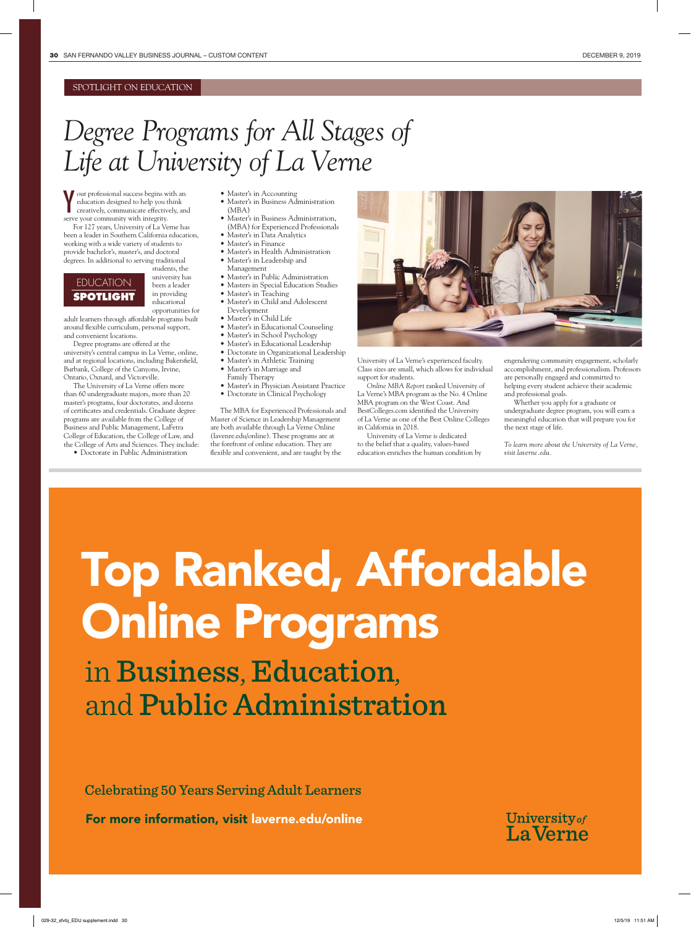#### SPOTLIGHT ON EDUCATION

### *Degree Programs for All Stages of Life at University of La Verne*

V our professional success begins with an education designed to help you think creatively, communicate effectively, and education designed to help you think creatively, communicate effectively, and serve your community with integrity.

For 127 years, University of La Verne has been a leader in Southern California education, working with a wide variety of students to provide bachelor's, master's, and doctoral degrees. In additional to serving traditional

### EDUCATION **SPOTLIGHT**

students, the university has been a leader in providing educational opportunities for

adult learners through affordable programs built around flexible curriculum, personal support, and convenient locations.

Degree programs are offered at the university's central campus in La Verne, online, and at regional locations, including Bakersfield, Burbank, College of the Canyons, Irvine, Ontario, Oxnard, and Victorville.

The University of La Verne offers more than 60 undergraduate majors, more than 20 master's programs, four doctorates, and dozens of certificates and credentials. Graduate degree programs are available from the College of Business and Public Management, LaFetra College of Education, the College of Law, and the College of Arts and Sciences. They include:

• Doctorate in Public Administration

- Master's in Accounting
- Master's in Business Administration (MBA)
- Master's in Business Administration,
- (MBA) for Experienced Professionals
- Master's in Data Analytics
- Master's in Finance • Master's in Health Administration
- Master's in Leadership and
- Management
- Master's in Public Administration
- Masters in Special Education Studies
- Master's in Teaching
- Master's in Child and Adolescent Development
- Master's in Child Life
- Master's in Educational Counseling
- Master's in School Psychology
- Master's in Educational Leadership
- Doctorate in Organizational Leadership
- Master's in Athletic Training
- Master's in Marriage and
- Family Therapy
- Master's in Physician Assistant Practice • Doctorate in Clinical Psychology

The MBA for Experienced Professionals and Master of Science in Leadership Management are both available through La Verne Online (lavenre.edu/online). These programs are at the forefront of online education. They are flexible and convenient, and are taught by the

University of La Verne's experienced faculty. Class sizes are small, which allows for individual support for students.

*Online MBA Report* ranked University of La Verne's MBA program as the No. 4 Online MBA program on the West Coast. And BestColleges.com identified the University of La Verne as one of the Best Online Colleges in California in 2018.

University of La Verne is dedicated to the belief that a quality, values-based education enriches the human condition by

engendering community engagement, scholarly accomplishment, and professionalism. Professors are personally engaged and committed to helping every student achieve their academic and professional goals.

Whether you apply for a graduate or undergraduate degree program, you will earn a meaningful education that will prepare you for the next stage of life.

*To learn more about the University of La Verne, visit laverne.edu.* 

University of **LaVerne** 

## Top Ranked, Affordable Online Programs

in Business, Education, and Public Administration

Celebrating 50 Years Serving Adult Learners

For more information, visit laverne.edu/online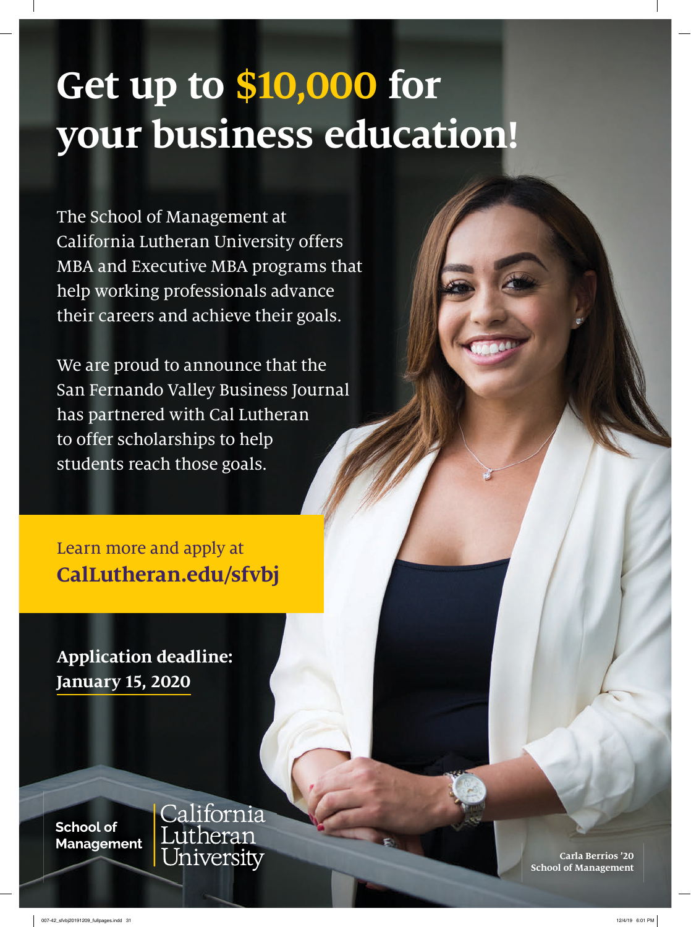## **Get up to \$10,000 for your business education!**

The School of Management at California Lutheran University offers MBA and Executive MBA programs that help working professionals advance their careers and achieve their goals.

We are proud to announce that the San Fernando Valley Business Journal has partnered with Cal Lutheran to offer scholarships to help students reach those goals.

Learn more and apply at **CalLutheran.edu/sfvbj**

**Application deadline: January 15, 2020**

**School of Management**  California<br>Lutheran University

**Carla Berrios '20 School of Management**